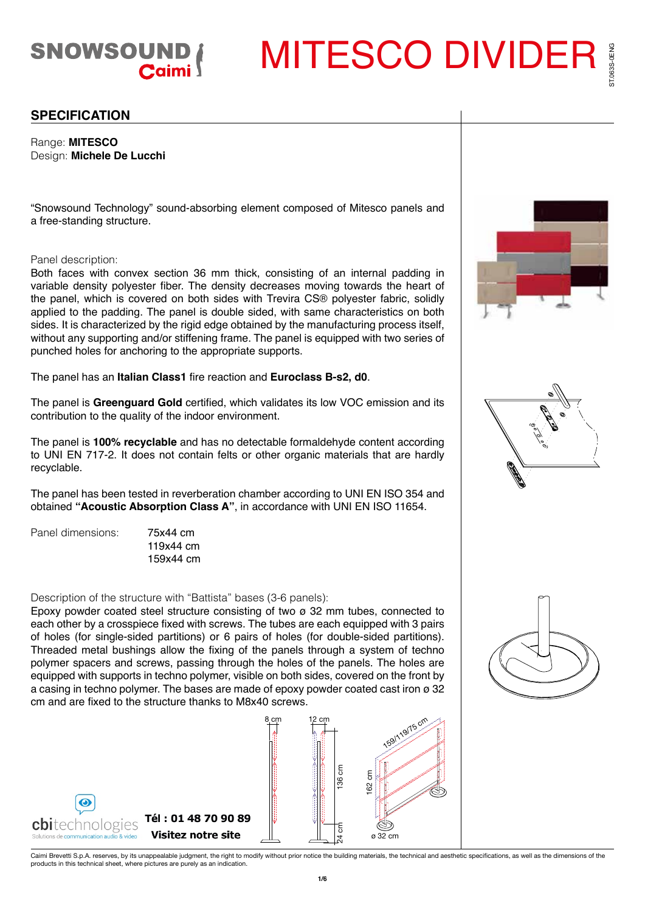

MITESCO DIVIDER

## **SPECIFICATION**

Range: **MITESCO** Design: **Michele De Lucchi**

"Snowsound Technology" sound-absorbing element composed of Mitesco panels and a free-standing structure.

## Panel description:

Both faces with convex section 36 mm thick, consisting of an internal padding in variable density polyester fiber. The density decreases moving towards the heart of the panel, which is covered on both sides with Trevira CS® polyester fabric, solidly applied to the padding. The panel is double sided, with same characteristics on both sides. It is characterized by the rigid edge obtained by the manufacturing process itself, without any supporting and/or stiffening frame. The panel is equipped with two series of punched holes for anchoring to the appropriate supports.

The panel has an **Italian Class1** fire reaction and **Euroclass B-s2, d0**.

The panel is **Greenguard Gold** certified, which validates its low VOC emission and its contribution to the quality of the indoor environment.

The panel is **100% recyclable** and has no detectable formaldehyde content according to UNI EN 717-2. It does not contain felts or other organic materials that are hardly recyclable.

The panel has been tested in reverberation chamber according to UNI EN ISO 354 and obtained **"Acoustic Absorption Class A"**, in accordance with UNI EN ISO 11654.

Panel dimensions: 75x44 cm

119x44 cm 159x44 cm

Description of the structure with "Battista" bases (3-6 panels):

Epoxy powder coated steel structure consisting of two  $\varnothing$  32 mm tubes, connected to each other by a crosspiece fixed with screws. The tubes are each equipped with 3 pairs of holes (for single-sided partitions) or 6 pairs of holes (for double-sided partitions). Threaded metal bushings allow the fixing of the panels through a system of techno polymer spacers and screws, passing through the holes of the panels. The holes are equipped with supports in techno polymer, visible on both sides, covered on the front by a casing in techno polymer. The bases are made of epoxy powder coated cast iron ø 32 cm and are fixed to the structure thanks to M8x40 screws.







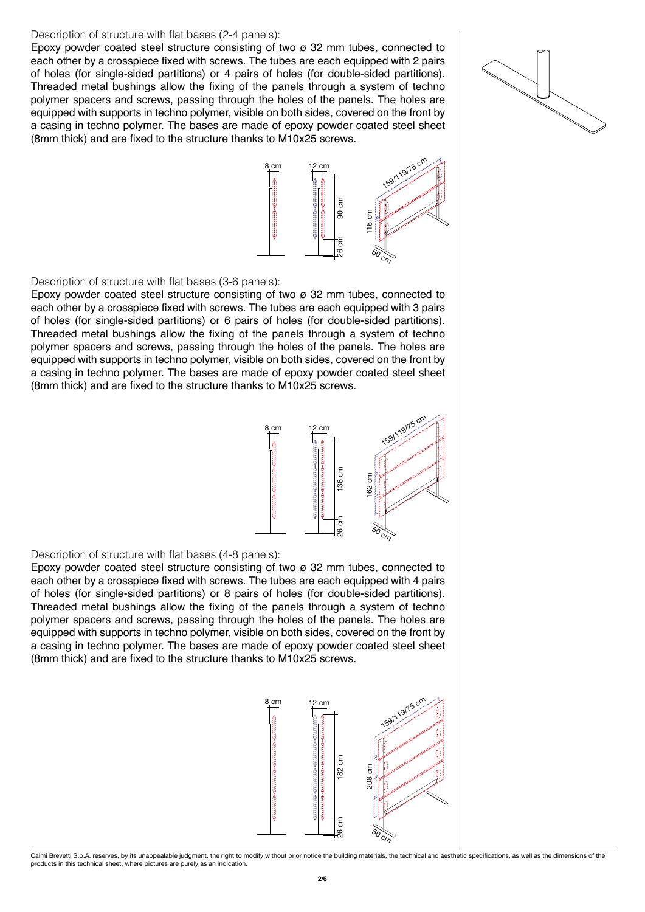#### Description of structure with flat bases (2-4 panels):

Epoxy powder coated steel structure consisting of two ø 32 mm tubes, connected to each other by a crosspiece fixed with screws. The tubes are each equipped with 2 pairs of holes (for single-sided partitions) or 4 pairs of holes (for double-sided partitions). Threaded metal bushings allow the fixing of the panels through a system of techno polymer spacers and screws, passing through the holes of the panels. The holes are equipped with supports in techno polymer, visible on both sides, covered on the front by a casing in techno polymer. The bases are made of epoxy powder coated steel sheet (8mm thick) and are fixed to the structure thanks to M10x25 screws.





Description of structure with flat bases (3-6 panels):

Epoxy powder coated steel structure consisting of two  $\sigma$  32 mm tubes, connected to each other by a crosspiece fixed with screws. The tubes are each equipped with 3 pairs of holes (for single-sided partitions) or 6 pairs of holes (for double-sided partitions). Threaded metal bushings allow the fixing of the panels through a system of techno polymer spacers and screws, passing through the holes of the panels. The holes are equipped with supports in techno polymer, visible on both sides, covered on the front by a casing in techno polymer. The bases are made of epoxy powder coated steel sheet (8mm thick) and are fixed to the structure thanks to M10x25 screws.



### Description of structure with flat bases (4-8 panels):

Epoxy powder coated steel structure consisting of two  $\sigma$  32 mm tubes, connected to each other by a crosspiece fixed with screws. The tubes are each equipped with 4 pairs of holes (for single-sided partitions) or 8 pairs of holes (for double-sided partitions). Threaded metal bushings allow the fixing of the panels through a system of techno polymer spacers and screws, passing through the holes of the panels. The holes are equipped with supports in techno polymer, visible on both sides, covered on the front by a casing in techno polymer. The bases are made of epoxy powder coated steel sheet (8mm thick) and are fixed to the structure thanks to M10x25 screws.



Caimi Brevetti S.p.A. reserves, by its unappealable judgment, the right to modify without prior notice the building materials, the technical and aesthetic specifications, as well as the dimensions of the<br>products in this t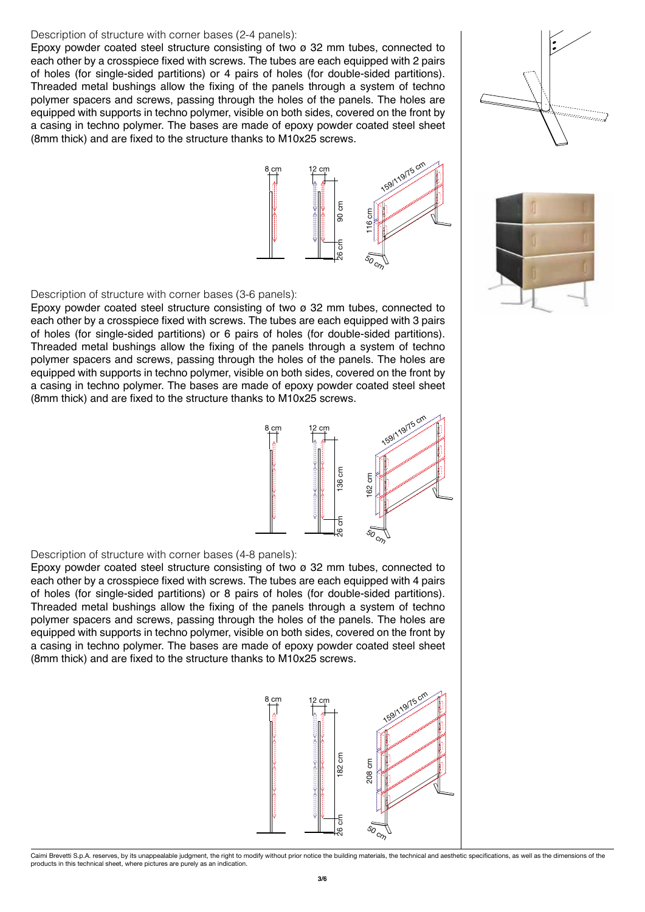### Description of structure with corner bases (2-4 panels):

Epoxy powder coated steel structure consisting of two ø 32 mm tubes, connected to each other by a crosspiece fixed with screws. The tubes are each equipped with 2 pairs of holes (for single-sided partitions) or 4 pairs of holes (for double-sided partitions). Threaded metal bushings allow the fixing of the panels through a system of techno polymer spacers and screws, passing through the holes of the panels. The holes are equipped with supports in techno polymer, visible on both sides, covered on the front by a casing in techno polymer. The bases are made of epoxy powder coated steel sheet (8mm thick) and are fixed to the structure thanks to M10x25 screws.



Description of structure with corner bases (3-6 panels):

Epoxy powder coated steel structure consisting of two ø 32 mm tubes, connected to each other by a crosspiece fixed with screws. The tubes are each equipped with 3 pairs of holes (for single-sided partitions) or 6 pairs of holes (for double-sided partitions). Threaded metal bushings allow the fixing of the panels through a system of techno polymer spacers and screws, passing through the holes of the panels. The holes are equipped with supports in techno polymer, visible on both sides, covered on the front by a casing in techno polymer. The bases are made of epoxy powder coated steel sheet (8mm thick) and are fixed to the structure thanks to M10x25 screws.



### Description of structure with corner bases (4-8 panels):

Epoxy powder coated steel structure consisting of two  $\sigma$  32 mm tubes, connected to each other by a crosspiece fixed with screws. The tubes are each equipped with 4 pairs of holes (for single-sided partitions) or 8 pairs of holes (for double-sided partitions). Threaded metal bushings allow the fixing of the panels through a system of techno polymer spacers and screws, passing through the holes of the panels. The holes are equipped with supports in techno polymer, visible on both sides, covered on the front by a casing in techno polymer. The bases are made of epoxy powder coated steel sheet (8mm thick) and are fixed to the structure thanks to M10x25 screws.





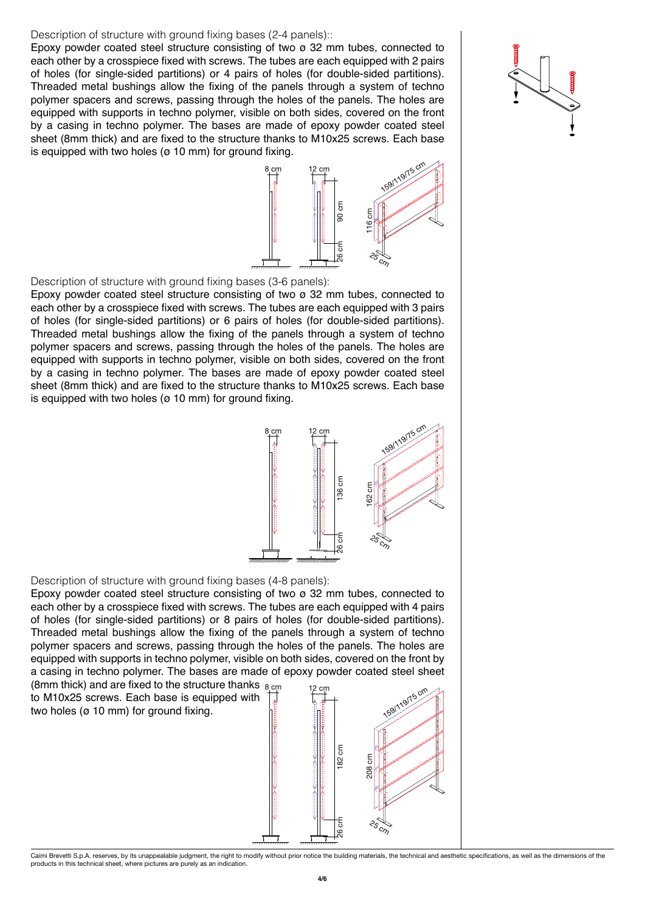### Description of structure with ground fixing bases (2-4 panels)::

Epoxy powder coated steel structure consisting of two ø 32 mm tubes, connected to each other by a crosspiece fixed with screws. The tubes are each equipped with 2 pairs of holes (for single-sided partitions) or 4 pairs of holes (for double-sided partitions). Threaded metal bushings allow the fixing of the panels through a system of techno polymer spacers and screws, passing through the holes of the panels. The holes are equipped with supports in techno polymer, visible on both sides, covered on the front by a casing in techno polymer. The bases are made of epoxy powder coated steel sheet (8mm thick) and are fixed to the structure thanks to M10x25 screws. Each base is equipped with two holes ( $\sigma$  10 mm) for ground fixing.



Description of structure with ground fixing bases (3-6 panels):

Epoxy powder coated steel structure consisting of two  $\sigma$  32 mm tubes, connected to each other by a crosspiece fixed with screws. The tubes are each equipped with 3 pairs of holes (for single-sided partitions) or 6 pairs of holes (for double-sided partitions). Threaded metal bushings allow the fixing of the panels through a system of techno polymer spacers and screws, passing through the holes of the panels. The holes are equipped with supports in techno polymer, visible on both sides, covered on the front by a casing in techno polymer. The bases are made of epoxy powder coated steel sheet (8mm thick) and are fixed to the structure thanks to M10x25 screws. Each base is equipped with two holes ( $\sigma$  10 mm) for ground fixing.



#### Description of structure with ground fixing bases (4-8 panels):

Epoxy powder coated steel structure consisting of two ø 32 mm tubes, connected to each other by a crosspiece fixed with screws. The tubes are each equipped with 4 pairs of holes (for single-sided partitions) or 8 pairs of holes (for double-sided partitions). Threaded metal bushings allow the fixing of the panels through a system of techno polymer spacers and screws, passing through the holes of the panels. The holes are equipped with supports in techno polymer, visible on both sides, covered on the front by a casing in techno polymer. The bases are made of epoxy powder coated steel sheet

(8mm thick) and are fixed to the structure thanks  $_{8\_\mathrm{cm}}$  and  $_{12\_\mathrm{cm}}$ to M10x25 screws. Each base is equipped with two holes (ø 10 mm) for ground fixing.

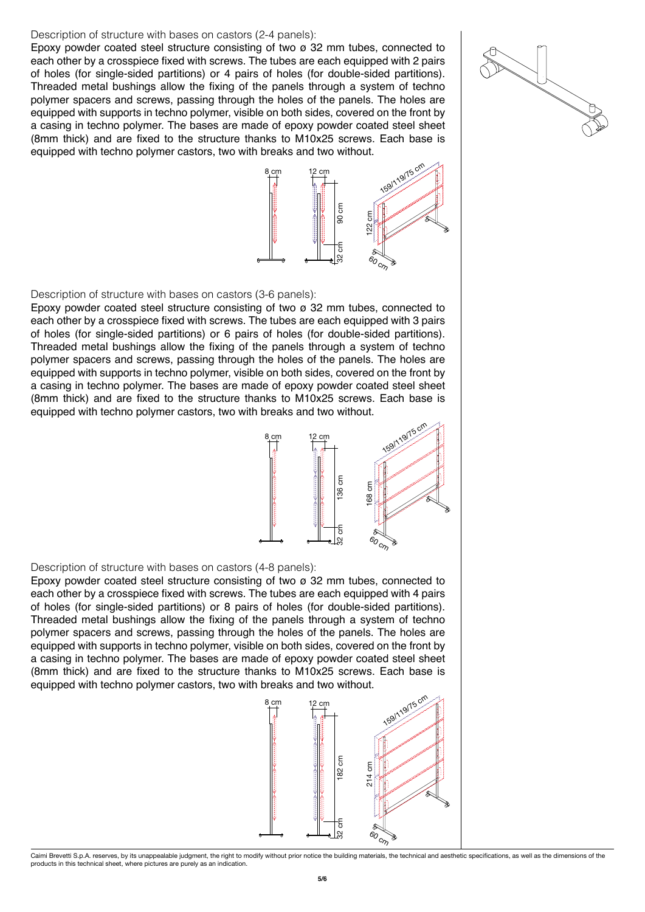#### Description of structure with bases on castors (2-4 panels):

Epoxy powder coated steel structure consisting of two ø 32 mm tubes, connected to each other by a crosspiece fixed with screws. The tubes are each equipped with 2 pairs of holes (for single-sided partitions) or 4 pairs of holes (for double-sided partitions). Threaded metal bushings allow the fixing of the panels through a system of techno polymer spacers and screws, passing through the holes of the panels. The holes are equipped with supports in techno polymer, visible on both sides, covered on the front by a casing in techno polymer. The bases are made of epoxy powder coated steel sheet (8mm thick) and are fixed to the structure thanks to M10x25 screws. Each base is equipped with techno polymer castors, two with breaks and two without.



Description of structure with bases on castors (3-6 panels):

Epoxy powder coated steel structure consisting of two ø 32 mm tubes, connected to each other by a crosspiece fixed with screws. The tubes are each equipped with 3 pairs of holes (for single-sided partitions) or 6 pairs of holes (for double-sided partitions). Threaded metal bushings allow the fixing of the panels through a system of techno polymer spacers and screws, passing through the holes of the panels. The holes are equipped with supports in techno polymer, visible on both sides, covered on the front by a casing in techno polymer. The bases are made of epoxy powder coated steel sheet (8mm thick) and are fixed to the structure thanks to M10x25 screws. Each base is equipped with techno polymer castors, two with breaks and two without.



Description of structure with bases on castors (4-8 panels):

Epoxy powder coated steel structure consisting of two  $\sigma$  32 mm tubes, connected to each other by a crosspiece fixed with screws. The tubes are each equipped with 4 pairs of holes (for single-sided partitions) or 8 pairs of holes (for double-sided partitions). Threaded metal bushings allow the fixing of the panels through a system of techno polymer spacers and screws, passing through the holes of the panels. The holes are equipped with supports in techno polymer, visible on both sides, covered on the front by a casing in techno polymer. The bases are made of epoxy powder coated steel sheet (8mm thick) and are fixed to the structure thanks to M10x25 screws. Each base is equipped with techno polymer castors, two with breaks and two without.